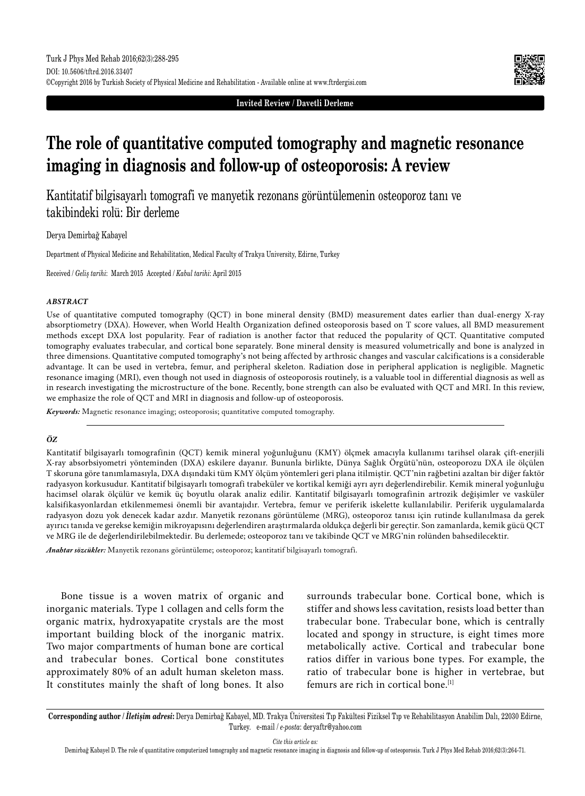**Invited Review / Davetli Derleme**

# **The role of quantitative computed tomography and magnetic resonance imaging in diagnosis and follow-up of osteoporosis: A review**

Kantitatif bilgisayarlı tomografi ve manyetik rezonans görüntülemenin osteoporoz tanı ve takibindeki rolü: Bir derleme

Derya Demirbağ Kabayel

Department of Physical Medicine and Rehabilitation, Medical Faculty of Trakya University, Edirne, Turkey

Received / *Geliş tarihi*: March 2015 Accepted / *Kabul tarihi*: April 2015

#### *ABSTRACT*

Use of quantitative computed tomography (QCT) in bone mineral density (BMD) measurement dates earlier than dual-energy X-ray absorptiometry (DXA). However, when World Health Organization defined osteoporosis based on T score values, all BMD measurement methods except DXA lost popularity. Fear of radiation is another factor that reduced the popularity of QCT. Quantitative computed tomography evaluates trabecular, and cortical bone separately. Bone mineral density is measured volumetrically and bone is analyzed in three dimensions. Quantitative computed tomography's not being affected by arthrosic changes and vascular calcifications is a considerable advantage. It can be used in vertebra, femur, and peripheral skeleton. Radiation dose in peripheral application is negligible. Magnetic resonance imaging (MRI), even though not used in diagnosis of osteoporosis routinely, is a valuable tool in differential diagnosis as well as in research investigating the microstructure of the bone. Recently, bone strength can also be evaluated with QCT and MRI. In this review, we emphasize the role of QCT and MRI in diagnosis and follow-up of osteoporosis.

*Keywords:* Magnetic resonance imaging; osteoporosis; quantitative computed tomography.

#### *ÖZ*

Kantitatif bilgisayarlı tomografinin (QCT) kemik mineral yoğunluğunu (KMY) ölçmek amacıyla kullanımı tarihsel olarak çift-enerjili X-ray absorbsiyometri yönteminden (DXA) eskilere dayanır. Bununla birlikte, Dünya Sağlık Örgütü'nün, osteoporozu DXA ile ölçülen T skoruna göre tanımlamasıyla, DXA dışındaki tüm KMY ölçüm yöntemleri geri plana itilmiştir. QCT'nin rağbetini azaltan bir diğer faktör radyasyon korkusudur. Kantitatif bilgisayarlı tomografi trabeküler ve kortikal kemiği ayrı ayrı değerlendirebilir. Kemik mineral yoğunluğu hacimsel olarak ölçülür ve kemik üç boyutlu olarak analiz edilir. Kantitatif bilgisayarlı tomografinin artrozik değişimler ve vasküler kalsifikasyonlardan etkilenmemesi önemli bir avantajıdır. Vertebra, femur ve periferik iskelette kullanılabilir. Periferik uygulamalarda radyasyon dozu yok denecek kadar azdır. Manyetik rezonans görüntüleme (MRG), osteoporoz tanısı için rutinde kullanılmasa da gerek ayırıcı tanıda ve gerekse kemiğin mikroyapısını değerlendiren araştırmalarda oldukça değerli bir gereçtir. Son zamanlarda, kemik gücü QCT ve MRG ile de değerlendirilebilmektedir. Bu derlemede; osteoporoz tanı ve takibinde QCT ve MRG'nin rolünden bahsedilecektir.

*Anahtar sözcükler:* Manyetik rezonans görüntüleme; osteoporoz; kantitatif bilgisayarlı tomografi.

Bone tissue is a woven matrix of organic and inorganic materials. Type 1 collagen and cells form the organic matrix, hydroxyapatite crystals are the most important building block of the inorganic matrix. Two major compartments of human bone are cortical and trabecular bones. Cortical bone constitutes approximately 80% of an adult human skeleton mass. It constitutes mainly the shaft of long bones. It also surrounds trabecular bone. Cortical bone, which is stiffer and shows less cavitation, resists load better than trabecular bone. Trabecular bone, which is centrally located and spongy in structure, is eight times more metabolically active. Cortical and trabecular bone ratios differ in various bone types. For example, the ratio of trabecular bone is higher in vertebrae, but femurs are rich in cortical bone.[1]

**Corresponding author /** *İletişim adresi***:** Derya Demirbağ Kabayel, MD. Trakya Üniversitesi Tıp Fakültesi Fiziksel Tıp ve Rehabilitasyon Anabilim Dalı, 22030 Edirne, Turkey. e-mail / *e-posta*: deryaftr@yahoo.com

*Cite this article as:*

Demirbağ Kabayel D. The role of quantitative computerized tomography and magnetic resonance imaging in diagnosis and follow-up of osteoporosis. Turk J Phys Med Rehab 2016;62(3):264-71.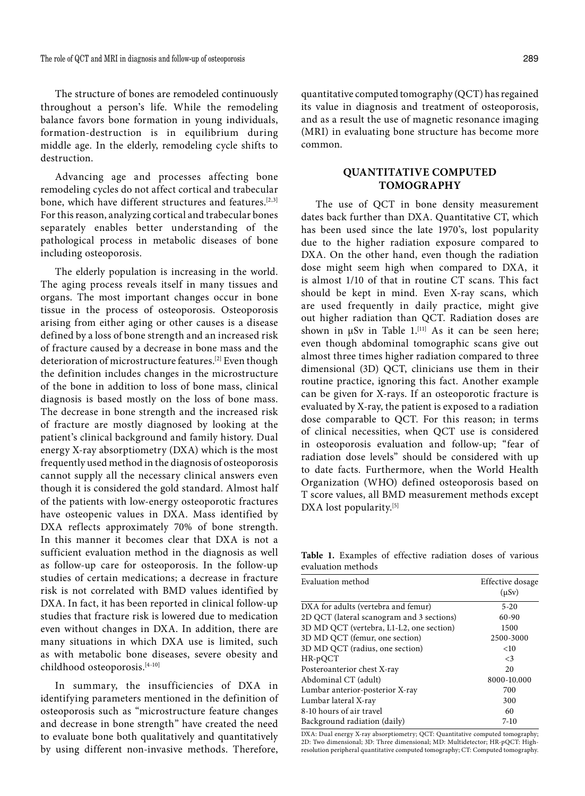The structure of bones are remodeled continuously throughout a person's life. While the remodeling balance favors bone formation in young individuals, formation-destruction is in equilibrium during middle age. In the elderly, remodeling cycle shifts to destruction.

Advancing age and processes affecting bone remodeling cycles do not affect cortical and trabecular bone, which have different structures and features.<sup>[2,3]</sup> For this reason, analyzing cortical and trabecular bones separately enables better understanding of the pathological process in metabolic diseases of bone including osteoporosis.

The elderly population is increasing in the world. The aging process reveals itself in many tissues and organs. The most important changes occur in bone tissue in the process of osteoporosis. Osteoporosis arising from either aging or other causes is a disease defined by a loss of bone strength and an increased risk of fracture caused by a decrease in bone mass and the deterioration of microstructure features.[2] Even though the definition includes changes in the microstructure of the bone in addition to loss of bone mass, clinical diagnosis is based mostly on the loss of bone mass. The decrease in bone strength and the increased risk of fracture are mostly diagnosed by looking at the patient's clinical background and family history. Dual energy X-ray absorptiometry (DXA) which is the most frequently used method in the diagnosis of osteoporosis cannot supply all the necessary clinical answers even though it is considered the gold standard. Almost half of the patients with low-energy osteoporotic fractures have osteopenic values in DXA. Mass identified by DXA reflects approximately 70% of bone strength. In this manner it becomes clear that DXA is not a sufficient evaluation method in the diagnosis as well as follow-up care for osteoporosis. In the follow-up studies of certain medications; a decrease in fracture risk is not correlated with BMD values identified by DXA. In fact, it has been reported in clinical follow-up studies that fracture risk is lowered due to medication even without changes in DXA. In addition, there are many situations in which DXA use is limited, such as with metabolic bone diseases, severe obesity and childhood osteoporosis.[4-10]

In summary, the insufficiencies of DXA in identifying parameters mentioned in the definition of osteoporosis such as "microstructure feature changes and decrease in bone strength" have created the need to evaluate bone both qualitatively and quantitatively by using different non-invasive methods. Therefore, quantitative computed tomography (QCT) has regained its value in diagnosis and treatment of osteoporosis, and as a result the use of magnetic resonance imaging (MRI) in evaluating bone structure has become more common.

## **QUANTITATIVE COMPUTED TOMOGRAPHY**

The use of QCT in bone density measurement dates back further than DXA. Quantitative CT, which has been used since the late 1970's, lost popularity due to the higher radiation exposure compared to DXA. On the other hand, even though the radiation dose might seem high when compared to DXA, it is almost 1/10 of that in routine CT scans. This fact should be kept in mind. Even X-ray scans, which are used frequently in daily practice, might give out higher radiation than QCT. Radiation doses are shown in  $\mu Sv$  in Table 1.<sup>[11]</sup> As it can be seen here; even though abdominal tomographic scans give out almost three times higher radiation compared to three dimensional (3D) QCT, clinicians use them in their routine practice, ignoring this fact. Another example can be given for X-rays. If an osteoporotic fracture is evaluated by X-ray, the patient is exposed to a radiation dose comparable to QCT. For this reason; in terms of clinical necessities, when QCT use is considered in osteoporosis evaluation and follow-up; "fear of radiation dose levels" should be considered with up to date facts. Furthermore, when the World Health Organization (WHO) defined osteoporosis based on T score values, all BMD measurement methods except DXA lost popularity.<sup>[5]</sup>

**Table 1.** Examples of effective radiation doses of various evaluation methods

| Evaluation method                         | Effective dosage<br>$(\mu Sv)$ |
|-------------------------------------------|--------------------------------|
| DXA for adults (vertebra and femur)       | $5 - 20$                       |
| 2D QCT (lateral scanogram and 3 sections) | $60-90$                        |
| 3D MD QCT (vertebra, L1-L2, one section)  | 1500                           |
| 3D MD QCT (femur, one section)            | 2500-3000                      |
| 3D MD QCT (radius, one section)           | $<$ 10                         |
| HR-pQCT                                   | $\leq$ 3                       |
| Posteroanterior chest X-ray               | 20                             |
| Abdominal CT (adult)                      | 8000-10.000                    |
| Lumbar anterior-posterior X-ray           | 700                            |
| Lumbar lateral X-ray                      | 300                            |
| 8-10 hours of air travel                  | 60                             |
| Background radiation (daily)              | $7-10$                         |

DXA: Dual energy X-ray absorptiometry; QCT: Quantitative computed tomography; 2D: Two dimensional; 3D: Three dimensional; MD: Multidetector; HR-pQCT: Highresolution peripheral quantitative computed tomography; CT: Computed tomography.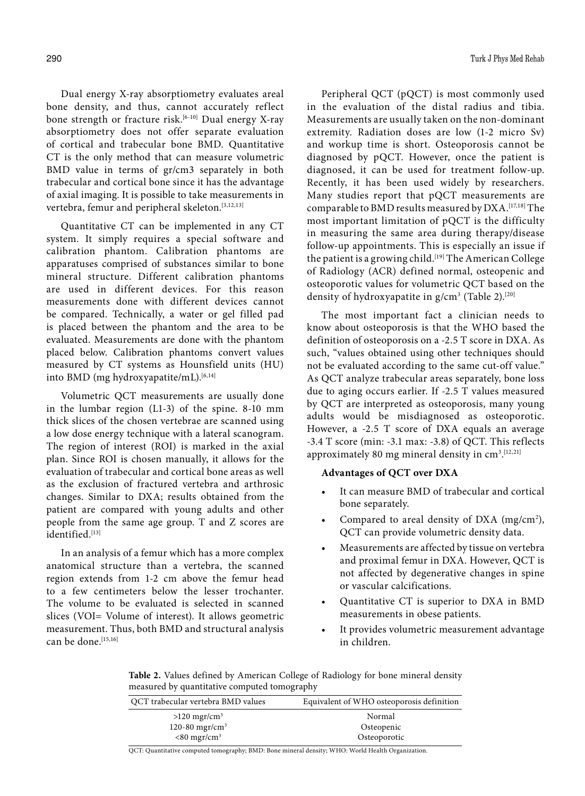Dual energy X-ray absorptiometry evaluates areal bone density, and thus, cannot accurately reflect bone strength or fracture risk.<sup>[6-10]</sup> Dual energy X-ray absorptiometry does not offer separate evaluation of cortical and trabecular bone BMD. Quantitative CT is the only method that can measure volumetric BMD value in terms of gr/cm3 separately in both trabecular and cortical bone since it has the advantage of axial imaging. It is possible to take measurements in vertebra, femur and peripheral skeleton.<sup>[3,12,13]</sup>

Quantitative CT can be implemented in any CT system. It simply requires a special software and calibration phantom. Calibration phantoms are apparatuses comprised of substances similar to bone mineral structure. Different calibration phantoms are used in different devices. For this reason measurements done with different devices cannot be compared. Technically, a water or gel filled pad is placed between the phantom and the area to be evaluated. Measurements are done with the phantom placed below. Calibration phantoms convert values measured by CT systems as Hounsfield units (HU) into BMD (mg hydroxyapatite/mL).<sup>[6,14]</sup>

Volumetric QCT measurements are usually done in the lumbar region (L1-3) of the spine. 8-10 mm thick slices of the chosen vertebrae are scanned using a low dose energy technique with a lateral scanogram. The region of interest (ROI) is marked in the axial plan. Since ROI is chosen manually, it allows for the evaluation of trabecular and cortical bone areas as well as the exclusion of fractured vertebra and arthrosic changes. Similar to DXA; results obtained from the patient are compared with young adults and other people from the same age group. T and Z scores are identified.[13]

In an analysis of a femur which has a more complex anatomical structure than a vertebra, the scanned region extends from 1-2 cm above the femur head to a few centimeters below the lesser trochanter. The volume to be evaluated is selected in scanned slices (VOI= Volume of interest). It allows geometric measurement. Thus, both BMD and structural analysis can be done.<sup>[15,16]</sup>

Peripheral QCT (pQCT) is most commonly used in the evaluation of the distal radius and tibia. Measurements are usually taken on the non-dominant extremity. Radiation doses are low (1-2 micro Sv) and workup time is short. Osteoporosis cannot be diagnosed by pQCT. However, once the patient is diagnosed, it can be used for treatment follow-up. Recently, it has been used widely by researchers. Many studies report that pQCT measurements are comparable to BMD results measured by DXA.[17,18] The most important limitation of pQCT is the difficulty in measuring the same area during therapy/disease follow-up appointments. This is especially an issue if the patient is a growing child.<sup>[19]</sup> The American College of Radiology (ACR) defined normal, osteopenic and osteoporotic values for volumetric QCT based on the density of hydroxyapatite in g/cm<sup>3</sup> (Table 2).<sup>[20]</sup>

The most important fact a clinician needs to know about osteoporosis is that the WHO based the definition of osteoporosis on a -2.5 T score in DXA. As such, "values obtained using other techniques should not be evaluated according to the same cut-off value." As QCT analyze trabecular areas separately, bone loss due to aging occurs earlier. If -2.5 T values measured by QCT are interpreted as osteoporosis, many young adults would be misdiagnosed as osteoporotic. However, a -2.5 T score of DXA equals an average -3.4 T score (min: -3.1 max: -3.8) of QCT. This reflects approximately 80 mg mineral density in cm<sup>3</sup>.<sup>[12,21]</sup>

## **Advantages of QCT over DXA**

- It can measure BMD of trabecular and cortical bone separately.
- Compared to areal density of DXA  $(mg/cm<sup>2</sup>)$ , QCT can provide volumetric density data.
- • Measurements are affected by tissue on vertebra and proximal femur in DXA. However, QCT is not affected by degenerative changes in spine or vascular calcifications.
- Quantitative CT is superior to DXA in BMD measurements in obese patients.
- • It provides volumetric measurement advantage in children.

**Table 2.** Values defined by American College of Radiology for bone mineral density measured by quantitative computed tomography

| OCT trabecular vertebra BMD values                       | Equivalent of WHO osteoporosis definition |
|----------------------------------------------------------|-------------------------------------------|
| $>120$ mgr/cm <sup>3</sup><br>120-80 mgr/cm <sup>3</sup> | Normal<br>Osteopenic                      |
| $< 80$ mgr/cm <sup>3</sup>                               | Osteoporotic                              |

QCT: Quantitative computed tomography; BMD: Bone mineral density; WHO: World Health Organization.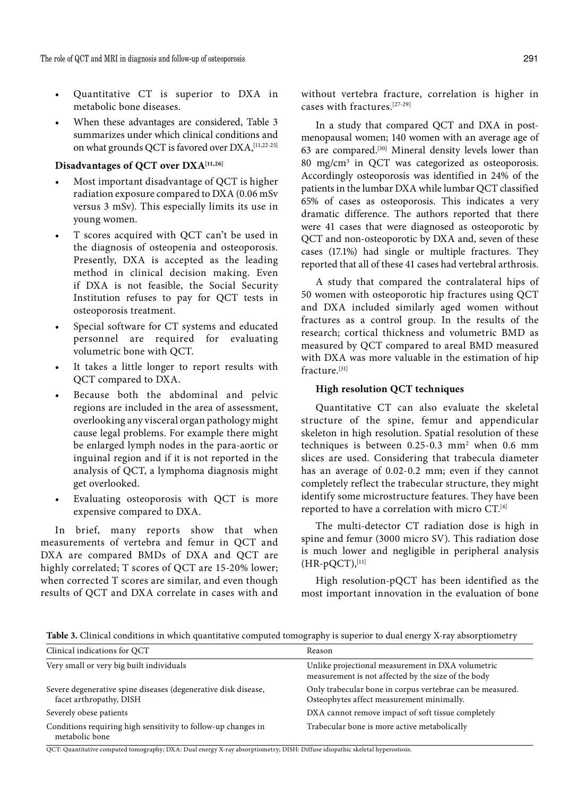- Quantitative CT is superior to DXA in metabolic bone diseases.
- When these advantages are considered, Table 3 summarizes under which clinical conditions and on what grounds OCT is favored over  $DXA$ , [11,22-25]

## **Disadvantages of QCT over DXA[11,26]**

- Most important disadvantage of QCT is higher radiation exposure compared to DXA (0.06 mSv versus 3 mSv). This especially limits its use in young women.
- T scores acquired with OCT can't be used in the diagnosis of osteopenia and osteoporosis. Presently, DXA is accepted as the leading method in clinical decision making. Even if DXA is not feasible, the Social Security Institution refuses to pay for QCT tests in osteoporosis treatment.
- Special software for CT systems and educated personnel are required for evaluating volumetric bone with QCT.
- It takes a little longer to report results with QCT compared to DXA.
- Because both the abdominal and pelvic regions are included in the area of assessment, overlooking any visceral organ pathology might cause legal problems. For example there might be enlarged lymph nodes in the para-aortic or inguinal region and if it is not reported in the analysis of QCT, a lymphoma diagnosis might get overlooked.
- Evaluating osteoporosis with QCT is more expensive compared to DXA.

In brief, many reports show that when measurements of vertebra and femur in QCT and DXA are compared BMDs of DXA and QCT are highly correlated; T scores of QCT are 15-20% lower; when corrected T scores are similar, and even though results of QCT and DXA correlate in cases with and without vertebra fracture, correlation is higher in cases with fractures.[27-29]

In a study that compared QCT and DXA in postmenopausal women; 140 women with an average age of 63 are compared.[30] Mineral density levels lower than 80 mg/cm3 in QCT was categorized as osteoporosis. Accordingly osteoporosis was identified in 24% of the patients in the lumbar DXA while lumbar QCT classified 65% of cases as osteoporosis. This indicates a very dramatic difference. The authors reported that there were 41 cases that were diagnosed as osteoporotic by QCT and non-osteoporotic by DXA and, seven of these cases (17.1%) had single or multiple fractures. They reported that all of these 41 cases had vertebral arthrosis.

A study that compared the contralateral hips of 50 women with osteoporotic hip fractures using QCT and DXA included similarly aged women without fractures as a control group. In the results of the research; cortical thickness and volumetric BMD as measured by QCT compared to areal BMD measured with DXA was more valuable in the estimation of hip fracture.[31]

### **High resolution QCT techniques**

Quantitative CT can also evaluate the skeletal structure of the spine, femur and appendicular skeleton in high resolution. Spatial resolution of these techniques is between  $0.25$ -0.3 mm<sup>2</sup> when 0.6 mm slices are used. Considering that trabecula diameter has an average of 0.02-0.2 mm; even if they cannot completely reflect the trabecular structure, they might identify some microstructure features. They have been reported to have a correlation with micro CT.[4]

The multi-detector CT radiation dose is high in spine and femur (3000 micro SV). This radiation dose is much lower and negligible in peripheral analysis  $(HR-pQCT),$ [11]

High resolution-pQCT has been identified as the most important innovation in the evaluation of bone

**Table 3.** Clinical conditions in which quantitative computed tomography is superior to dual energy X-ray absorptiometry

| Clinical indications for QCT                                                              | Reason                                                                                                   |
|-------------------------------------------------------------------------------------------|----------------------------------------------------------------------------------------------------------|
| Very small or very big built individuals                                                  | Unlike projectional measurement in DXA volumetric<br>measurement is not affected by the size of the body |
| Severe degenerative spine diseases (degenerative disk disease,<br>facet arthropathy, DISH | Only trabecular bone in corpus vertebrae can be measured.<br>Osteophytes affect measurement minimally.   |
| Severely obese patients                                                                   | DXA cannot remove impact of soft tissue completely                                                       |
| Conditions requiring high sensitivity to follow-up changes in<br>metabolic bone           | Trabecular bone is more active metabolically                                                             |

QCT: Quantitative computed tomography; DXA: Dual energy X-ray absorptiometry; DISH: Diffuse idiopathic skeletal hyperostosis.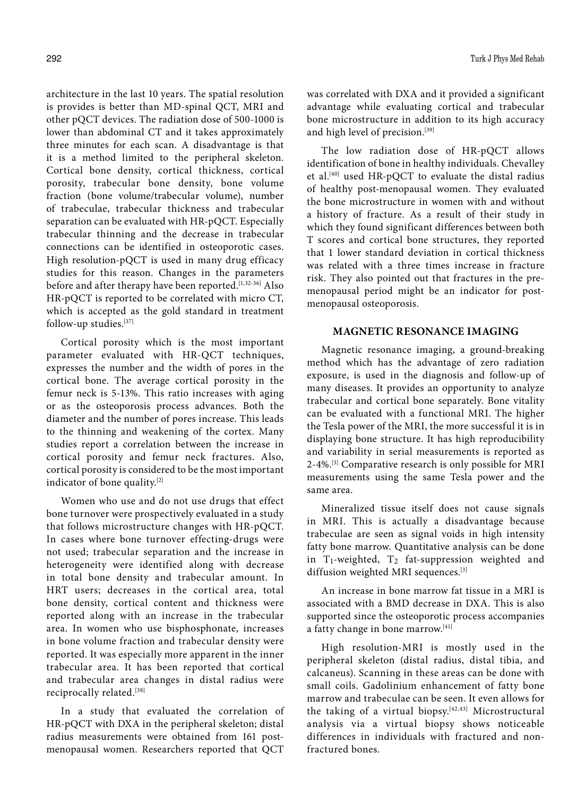architecture in the last 10 years. The spatial resolution is provides is better than MD-spinal QCT, MRI and other pQCT devices. The radiation dose of 500-1000 is lower than abdominal CT and it takes approximately three minutes for each scan. A disadvantage is that it is a method limited to the peripheral skeleton. Cortical bone density, cortical thickness, cortical porosity, trabecular bone density, bone volume fraction (bone volume/trabecular volume), number of trabeculae, trabecular thickness and trabecular separation can be evaluated with HR-pQCT. Especially trabecular thinning and the decrease in trabecular connections can be identified in osteoporotic cases. High resolution-pQCT is used in many drug efficacy studies for this reason. Changes in the parameters before and after therapy have been reported.<sup>[1,32-36]</sup> Also HR-pQCT is reported to be correlated with micro CT, which is accepted as the gold standard in treatment follow-up studies.[37]

Cortical porosity which is the most important parameter evaluated with HR-QCT techniques, expresses the number and the width of pores in the cortical bone. The average cortical porosity in the femur neck is 5-13%. This ratio increases with aging or as the osteoporosis process advances. Both the diameter and the number of pores increase. This leads to the thinning and weakening of the cortex. Many studies report a correlation between the increase in cortical porosity and femur neck fractures. Also, cortical porosity is considered to be the most important indicator of bone quality.[2]

Women who use and do not use drugs that effect bone turnover were prospectively evaluated in a study that follows microstructure changes with HR-pQCT. In cases where bone turnover effecting-drugs were not used; trabecular separation and the increase in heterogeneity were identified along with decrease in total bone density and trabecular amount. In HRT users; decreases in the cortical area, total bone density, cortical content and thickness were reported along with an increase in the trabecular area. In women who use bisphosphonate, increases in bone volume fraction and trabecular density were reported. It was especially more apparent in the inner trabecular area. It has been reported that cortical and trabecular area changes in distal radius were reciprocally related.[38]

In a study that evaluated the correlation of HR-pQCT with DXA in the peripheral skeleton; distal radius measurements were obtained from 161 postmenopausal women. Researchers reported that QCT

was correlated with DXA and it provided a significant advantage while evaluating cortical and trabecular bone microstructure in addition to its high accuracy and high level of precision.[39]

The low radiation dose of HR-pQCT allows identification of bone in healthy individuals. Chevalley et al.[40] used HR-pQCT to evaluate the distal radius of healthy post-menopausal women. They evaluated the bone microstructure in women with and without a history of fracture. As a result of their study in which they found significant differences between both T scores and cortical bone structures, they reported that 1 lower standard deviation in cortical thickness was related with a three times increase in fracture risk. They also pointed out that fractures in the premenopausal period might be an indicator for postmenopausal osteoporosis.

#### **MAGNETIC RESONANCE IMAGING**

Magnetic resonance imaging, a ground-breaking method which has the advantage of zero radiation exposure, is used in the diagnosis and follow-up of many diseases. It provides an opportunity to analyze trabecular and cortical bone separately. Bone vitality can be evaluated with a functional MRI. The higher the Tesla power of the MRI, the more successful it is in displaying bone structure. It has high reproducibility and variability in serial measurements is reported as 2-4%.[3] Comparative research is only possible for MRI measurements using the same Tesla power and the same area.

Mineralized tissue itself does not cause signals in MRI. This is actually a disadvantage because trabeculae are seen as signal voids in high intensity fatty bone marrow. Quantitative analysis can be done in T<sub>1</sub>-weighted, T<sub>2</sub> fat-suppression weighted and diffusion weighted MRI sequences.[3]

An increase in bone marrow fat tissue in a MRI is associated with a BMD decrease in DXA. This is also supported since the osteoporotic process accompanies a fatty change in bone marrow.[41]

High resolution-MRI is mostly used in the peripheral skeleton (distal radius, distal tibia, and calcaneus). Scanning in these areas can be done with small coils. Gadolinium enhancement of fatty bone marrow and trabeculae can be seen. It even allows for the taking of a virtual biopsy.<sup>[42,43]</sup> Microstructural analysis via a virtual biopsy shows noticeable differences in individuals with fractured and nonfractured bones.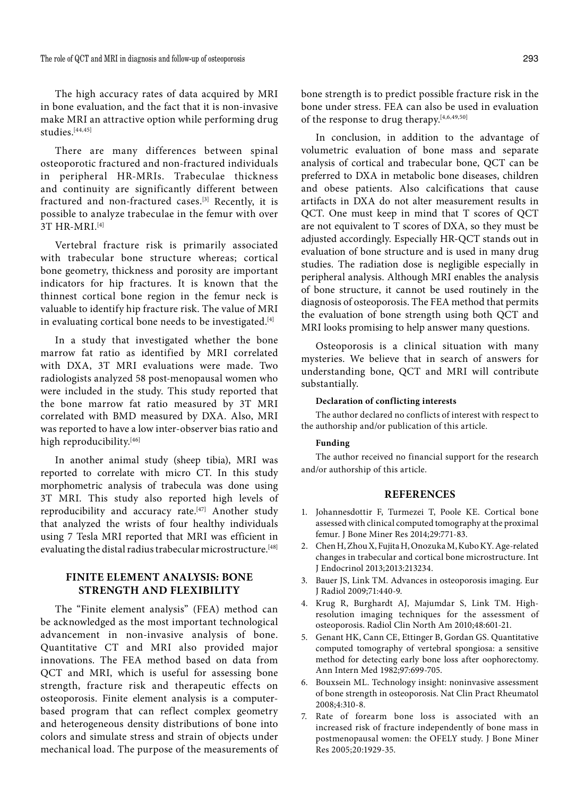The high accuracy rates of data acquired by MRI in bone evaluation, and the fact that it is non-invasive make MRI an attractive option while performing drug studies.<sup>[44,45]</sup>

There are many differences between spinal osteoporotic fractured and non-fractured individuals in peripheral HR-MRIs. Trabeculae thickness and continuity are significantly different between fractured and non-fractured cases.[3] Recently, it is possible to analyze trabeculae in the femur with over 3T HR-MRI.[4]

Vertebral fracture risk is primarily associated with trabecular bone structure whereas; cortical bone geometry, thickness and porosity are important indicators for hip fractures. It is known that the thinnest cortical bone region in the femur neck is valuable to identify hip fracture risk. The value of MRI in evaluating cortical bone needs to be investigated.<sup>[4]</sup>

In a study that investigated whether the bone marrow fat ratio as identified by MRI correlated with DXA, 3T MRI evaluations were made. Two radiologists analyzed 58 post-menopausal women who were included in the study. This study reported that the bone marrow fat ratio measured by 3T MRI correlated with BMD measured by DXA. Also, MRI was reported to have a low inter-observer bias ratio and high reproducibility.<sup>[46]</sup>

In another animal study (sheep tibia), MRI was reported to correlate with micro CT. In this study morphometric analysis of trabecula was done using 3T MRI. This study also reported high levels of reproducibility and accuracy rate.<sup>[47]</sup> Another study that analyzed the wrists of four healthy individuals using 7 Tesla MRI reported that MRI was efficient in evaluating the distal radius trabecular microstructure.<sup>[48]</sup>

# **FINITE ELEMENT ANALYSIS: BONE STRENGTH and FLEXIBILITY**

The "Finite element analysis" (FEA) method can be acknowledged as the most important technological advancement in non-invasive analysis of bone. Quantitative CT and MRI also provided major innovations. The FEA method based on data from QCT and MRI, which is useful for assessing bone strength, fracture risk and therapeutic effects on osteoporosis. Finite element analysis is a computerbased program that can reflect complex geometry and heterogeneous density distributions of bone into colors and simulate stress and strain of objects under mechanical load. The purpose of the measurements of bone strength is to predict possible fracture risk in the bone under stress. FEA can also be used in evaluation of the response to drug therapy.[4,6,49,50]

In conclusion, in addition to the advantage of volumetric evaluation of bone mass and separate analysis of cortical and trabecular bone, QCT can be preferred to DXA in metabolic bone diseases, children and obese patients. Also calcifications that cause artifacts in DXA do not alter measurement results in QCT. One must keep in mind that T scores of QCT are not equivalent to T scores of DXA, so they must be adjusted accordingly. Especially HR-QCT stands out in evaluation of bone structure and is used in many drug studies. The radiation dose is negligible especially in peripheral analysis. Although MRI enables the analysis of bone structure, it cannot be used routinely in the diagnosis of osteoporosis. The FEA method that permits the evaluation of bone strength using both QCT and MRI looks promising to help answer many questions.

Osteoporosis is a clinical situation with many mysteries. We believe that in search of answers for understanding bone, QCT and MRI will contribute substantially.

#### **Declaration of conflicting interests**

The author declared no conflicts of interest with respect to the authorship and/or publication of this article.

#### **Funding**

The author received no financial support for the research and/or authorship of this article.

#### **REFERENCES**

- 1. Johannesdottir F, Turmezei T, Poole KE. Cortical bone assessed with clinical computed tomography at the proximal femur. J Bone Miner Res 2014;29:771-83.
- 2. Chen H, Zhou X, Fujita H, Onozuka M, Kubo KY. Age-related changes in trabecular and cortical bone microstructure. Int J Endocrinol 2013;2013:213234.
- 3. Bauer JS, Link TM. Advances in osteoporosis imaging. Eur J Radiol 2009;71:440-9.
- 4. Krug R, Burghardt AJ, Majumdar S, Link TM. Highresolution imaging techniques for the assessment of osteoporosis. Radiol Clin North Am 2010;48:601-21.
- 5. Genant HK, Cann CE, Ettinger B, Gordan GS. Quantitative computed tomography of vertebral spongiosa: a sensitive method for detecting early bone loss after oophorectomy. Ann Intern Med 1982;97:699-705.
- 6. Bouxsein ML. Technology insight: noninvasive assessment of bone strength in osteoporosis. Nat Clin Pract Rheumatol 2008;4:310-8.
- 7. Rate of forearm bone loss is associated with an increased risk of fracture independently of bone mass in postmenopausal women: the OFELY study. J Bone Miner Res 2005;20:1929-35.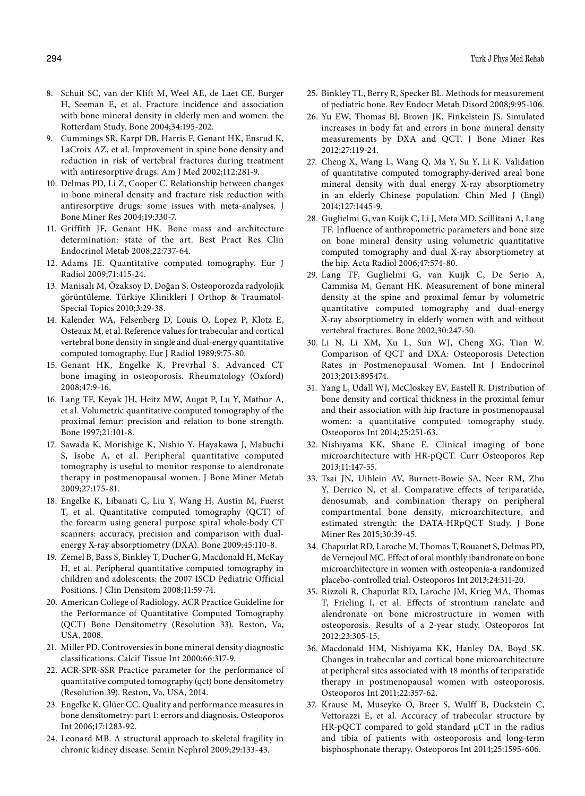- 8. Schuit SC, van der Klift M, Weel AE, de Laet CE, Burger H, Seeman E, et al. Fracture incidence and association with bone mineral density in elderly men and women: the Rotterdam Study. Bone 2004;34:195-202.
- 9. Cummings SR, Karpf DB, Harris F, Genant HK, Ensrud K, LaCroix AZ, et al. Improvement in spine bone density and reduction in risk of vertebral fractures during treatment with antiresorptive drugs. Am J Med 2002;112:281-9.
- 10. Delmas PD, Li Z, Cooper C. Relationship between changes in bone mineral density and fracture risk reduction with antiresorptive drugs: some issues with meta-analyses. J Bone Miner Res 2004;19:330-7.
- 11. Griffith JF, Genant HK. Bone mass and architecture determination: state of the art. Best Pract Res Clin Endocrinol Metab 2008;22:737-64.
- 12. Adams JE. Quantitative computed tomography. Eur J Radiol 2009;71:415-24.
- 13. Manisalı M, Özaksoy D, Doğan S. Osteoporozda radyolojik görüntüleme. Türkiye Klinikleri J Orthop & Traumatol-Special Topics 2010;3:29-38.
- 14. Kalender WA, Felsenberg D, Louis O, Lopez P, Klotz E, Osteaux M, et al. Reference values for trabecular and cortical vertebral bone density in single and dual-energy quantitative computed tomography. Eur J Radiol 1989;9:75-80.
- 15. Genant HK, Engelke K, Prevrhal S. Advanced CT bone imaging in osteoporosis. Rheumatology (Oxford) 2008;47:9-16.
- 16. Lang TF, Keyak JH, Heitz MW, Augat P, Lu Y, Mathur A, et al. Volumetric quantitative computed tomography of the proximal femur: precision and relation to bone strength. Bone 1997;21:101-8.
- 17. Sawada K, Morishige K, Nishio Y, Hayakawa J, Mabuchi S, Isobe A, et al. Peripheral quantitative computed tomography is useful to monitor response to alendronate therapy in postmenopausal women. J Bone Miner Metab 2009;27:175-81.
- 18. Engelke K, Libanati C, Liu Y, Wang H, Austin M, Fuerst T, et al. Quantitative computed tomography (QCT) of the forearm using general purpose spiral whole-body CT scanners: accuracy, precision and comparison with dualenergy X-ray absorptiometry (DXA). Bone 2009;45:110-8.
- 19. Zemel B, Bass S, Binkley T, Ducher G, Macdonald H, McKay H, et al. Peripheral quantitative computed tomography in children and adolescents: the 2007 ISCD Pediatric Official Positions. J Clin Densitom 2008;11:59-74.
- 20. American College of Radiology. ACR Practice Guideline for the Performance of Quantitative Computed Tomography (QCT) Bone Densitometry (Resolution 33). Reston, Va, USA, 2008.
- 21. Miller PD. Controversies in bone mineral density diagnostic classifications. Calcif Tissue Int 2000;66:317-9.
- 22. ACR-SPR-SSR Practice parameter for the performance of quantitative computed tomography (qct) bone densitometry (Resolution 39). Reston, Va, USA, 2014.
- 23. Engelke K, Glüer CC. Quality and performance measures in bone densitometry: part 1: errors and diagnosis. Osteoporos Int 2006;17:1283-92.
- 24. Leonard MB. A structural approach to skeletal fragility in chronic kidney disease. Semin Nephrol 2009;29:133-43.
- 25. Binkley TL, Berry R, Specker BL. Methods for measurement of pediatric bone. Rev Endocr Metab Disord 2008;9:95-106.
- 26. Yu EW, Thomas BJ, Brown JK, Finkelstein JS. Simulated increases in body fat and errors in bone mineral density measurements by DXA and QCT. J Bone Miner Res 2012;27:119-24.
- 27. Cheng X, Wang L, Wang Q, Ma Y, Su Y, Li K. Validation of quantitative computed tomography-derived areal bone mineral density with dual energy X-ray absorptiometry in an elderly Chinese population. Chin Med J (Engl) 2014;127:1445-9.
- 28. Guglielmi G, van Kuijk C, Li J, Meta MD, Scillitani A, Lang TF. Influence of anthropometric parameters and bone size on bone mineral density using volumetric quantitative computed tomography and dual X-ray absorptiometry at the hip. Acta Radiol 2006;47:574-80.
- 29. Lang TF, Guglielmi G, van Kuijk C, De Serio A, Cammisa M, Genant HK. Measurement of bone mineral density at the spine and proximal femur by volumetric quantitative computed tomography and dual-energy X-ray absorptiometry in elderly women with and without vertebral fractures. Bone 2002;30:247-50.
- 30. Li N, Li XM, Xu L, Sun WJ, Cheng XG, Tian W. Comparison of QCT and DXA: Osteoporosis Detection Rates in Postmenopausal Women. Int J Endocrinol 2013;2013:895474.
- 31. Yang L, Udall WJ, McCloskey EV, Eastell R. Distribution of bone density and cortical thickness in the proximal femur and their association with hip fracture in postmenopausal women: a quantitative computed tomography study. Osteoporos Int 2014;25:251-63.
- 32. Nishiyama KK, Shane E. Clinical imaging of bone microarchitecture with HR-pQCT. Curr Osteoporos Rep 2013;11:147-55.
- 33. Tsai JN, Uihlein AV, Burnett-Bowie SA, Neer RM, Zhu Y, Derrico N, et al. Comparative effects of teriparatide, denosumab, and combination therapy on peripheral compartmental bone density, microarchitecture, and estimated strength: the DATA-HRpQCT Study. J Bone Miner Res 2015;30:39-45.
- 34. Chapurlat RD, Laroche M, Thomas T, Rouanet S, Delmas PD, de Vernejoul MC. Effect of oral monthly ibandronate on bone microarchitecture in women with osteopenia-a randomized placebo-controlled trial. Osteoporos Int 2013;24:311-20.
- 35. Rizzoli R, Chapurlat RD, Laroche JM, Krieg MA, Thomas T, Frieling I, et al. Effects of strontium ranelate and alendronate on bone microstructure in women with osteoporosis. Results of a 2-year study. Osteoporos Int 2012;23:305-15.
- 36. Macdonald HM, Nishiyama KK, Hanley DA, Boyd SK. Changes in trabecular and cortical bone microarchitecture at peripheral sites associated with 18 months of teriparatide therapy in postmenopausal women with osteoporosis. Osteoporos Int 2011;22:357-62.
- 37. Krause M, Museyko O, Breer S, Wulff B, Duckstein C, Vettorazzi E, et al. Accuracy of trabecular structure by HR-pQCT compared to gold standard μCT in the radius and tibia of patients with osteoporosis and long-term bisphosphonate therapy. Osteoporos Int 2014;25:1595-606.